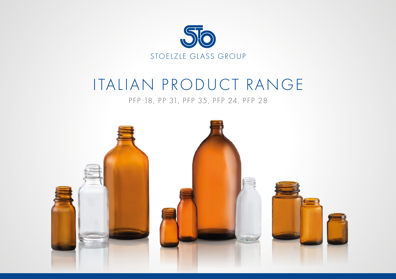

# ITALIAN PRODUCT RANGE

### PFP 18, PP 31, PFP 35, PFP 24, PFP 28

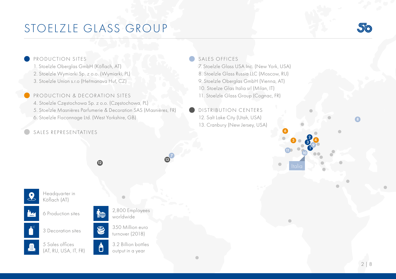### STOELZLE GLASS GROUP



### PRODUCTION SITES

1. Stoelzle Oberglas GmbH (Köflach, AT) 2. Stoelzle Wymiarki Sp. z o.o. (Wymiarki, PL) 3. Stoelzle Union s.r.o (Heřmanova Huť, CZ)

#### PRODUCTION & DECORATION SITES

4. Stoelzle Częstochowa Sp. z o.o. (Częstochowa, PL) 5. Stoelzle Masnières Parfumerie & Decoration SAS (Masnières, FR) 6. Stoelzle Flaconnage Ltd. (West Yorkshire, GB)

#### SALES REPRESENTATIVES

SALES OFFICES

7. Stoelzle Glass USA Inc. (New York, USA) 8. Stoelzle Glass Russia LLC (Moscow, RU) 9. Stoelzle Oberglas GmbH (Vienna, AT) 10. Stoelze Glas Italia srl (Milan, IT) 11. Stoelzle Glass Group (Cognac, FR)

DISTRIBUTION CENTERS 12. Salt Lake City (Utah, USA) 13. Cranbury (New Jersey, USA)

Headquarter in Köflach (AT)

6 Production sites





5 Sales offices (AT, RU, USA, IT, FR)



8

 $\bigwedge$ 

350 Million euro



3.2 Billion bottles output in a year

<sup>12</sup> <sup>13</sup>



1 2 3

 $5003$ 

**10** 10

6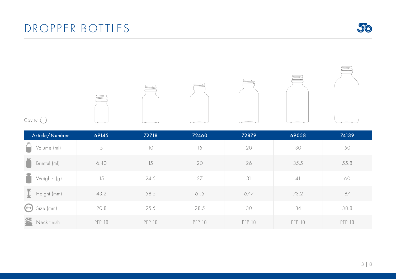### DROPPER BOTTLES





| Article/Number              | 69145  | 72718         | 72460         | 72879         | 69058         | 74139         |
|-----------------------------|--------|---------------|---------------|---------------|---------------|---------------|
| Volume (ml)                 | 5      | 10            | 15            | 20            | 30            | 50            |
| Brimful (ml)                | 6.40   | 15            | 20            | 26            | 35.5          | 55.8          |
| Weight~ (g)                 | 15     | 24.5          | 27            | 31            | 41            | 60            |
| Height (mm)                 | 43.2   | 58.5          | 61.5          | 67.7          | 73.2          | 87            |
| $\leftrightarrow$ Size (mm) | 20.8   | 25.5          | 28.5          | 30            | 34            | 38.8          |
| Neck finish                 | PFP 18 | <b>PFP 18</b> | <b>PFP 18</b> | <b>PFP 18</b> | <b>PFP 18</b> | <b>PFP 18</b> |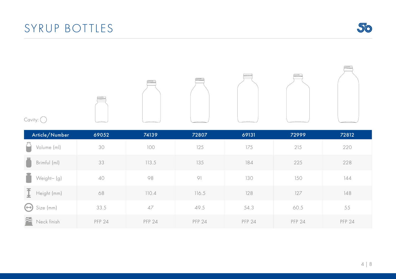



Cavity:  $\bigcirc$ 

| Article/Number                         | 69052  | 74139  | 72807  | 69131  | 72999  | 72812         |
|----------------------------------------|--------|--------|--------|--------|--------|---------------|
| Volume (ml)                            | 30     | 100    | 125    | 175    | 215    | 220           |
| Brimful (ml)                           | 33     | 113.5  | 135    | 184    | 225    | 228           |
| Weight~ (g)                            | 40     | 98     | 91     | 130    | 150    | 144           |
| $\overline{\mathbf{I}}$<br>Height (mm) | 68     | 110.4  | 116.5  | 128    | 127    | 148           |
| $(\leftrightarrow)$<br>Size (mm)       | 33.5   | 47     | 49.5   | 54.3   | 60.5   | 55            |
| 2<br>Neck finish                       | PFP 24 | PFP 24 | PFP 24 | PFP 24 | PFP 24 | <b>PFP 24</b> |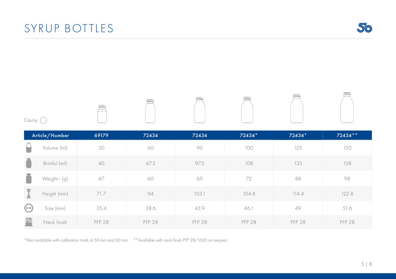### SYRUP BOTTLES

\*Also available with calibration mark at 50 mm and 60 mm. \*\*Available with neck finish PFP 28/1620 on request.

|                     | Article/Number | 69179         | 72434         | 72434         | 72434*        | 72434*        | 72434 **      |
|---------------------|----------------|---------------|---------------|---------------|---------------|---------------|---------------|
|                     | Volume (ml)    | 30            | 60            | 90            | 100           | 125           | 150           |
|                     | Brimful (ml)   | 40            | 67.5          | 97.5          | 108           | 133           | 158           |
|                     | Weight~ (g)    | 47            | 60            | 69            | 72            | 88            | 98            |
| 本<br>土              | Height (mm)    | 71.7          | 94            | 103.1         | 104.8         | 114.4         | 122.8         |
| $(\leftrightarrow)$ | Size (mm)      | 35.4          | 38.6          | 43.9          | 46.1          | 49            | 51.6          |
|                     | Neck finish    | <b>PFP 28</b> | <b>PFP 28</b> | <b>PFP 28</b> | <b>PFP 28</b> | <b>PFP 28</b> | <b>PFP 28</b> |





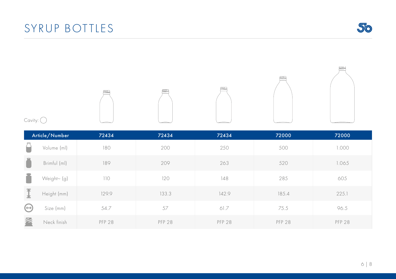## SYRUP BOTTLES

|             | Article/Number | 72434         | 72434         | 72434         | 72000         | 72000         |
|-------------|----------------|---------------|---------------|---------------|---------------|---------------|
|             | Volume (ml)    | 180           | 200           | 250           | 500           | 1.000         |
| $\equiv$    | Brimful (ml)   | 189           | 209           | 263           | 520           | 1.065         |
|             | Weight~ (g)    | 110           | 120           | 148           | 285           | 605           |
| I           | Height (mm)    | 129.9         | 133.3         | 142.9         | 185.4         | 225.1         |
| $\bigoplus$ | Size (mm)      | 54.7          | 57            | 61.7          | 75.5          | 96.5          |
| 2           | Neck finish    | <b>PFP 28</b> | <b>PFP 28</b> | <b>PFP 28</b> | <b>PFP 28</b> | <b>PFP 28</b> |





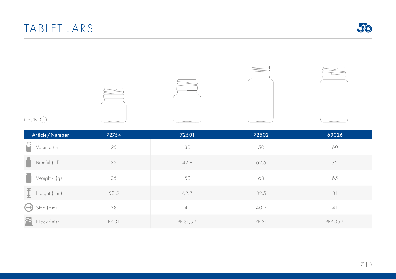



Cavity:  $\bigcirc$ 

| Article/Number                         | 72754 | 72501     | 72502 | 69026           |
|----------------------------------------|-------|-----------|-------|-----------------|
| Volume (ml)                            | 25    | 30        | 50    | 60              |
| Brimful (ml)                           | 32    | 42.8      | 62.5  | 72              |
| Weight~ (g)                            | 35    | 50        | 68    | 65              |
| $\overline{\mathbf{I}}$<br>Height (mm) | 50.5  | 62.7      | 82.5  | 81              |
| Size (mm)<br>$(\leftrightarrow)$       | 38    | 40        | 40.3  | 4               |
| Neck finish                            | PP 31 | PP 31,5 S | PP 31 | <b>PFP 35 S</b> |